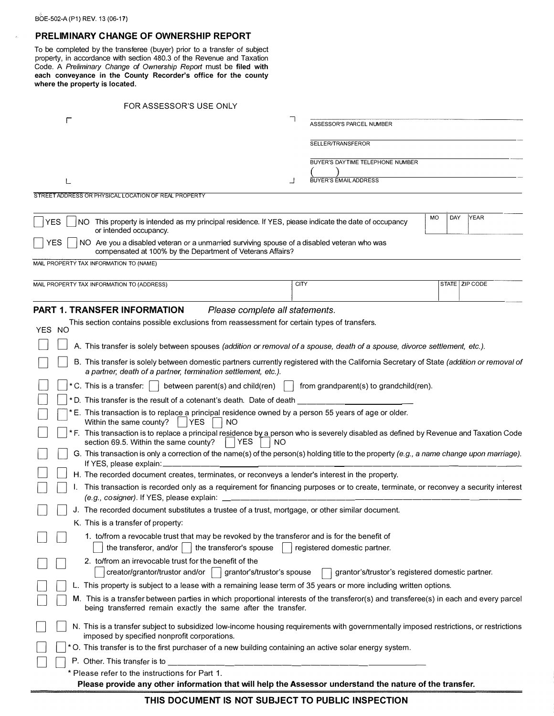# **PRELIMINARY CHANGE OF OWNERSHIP REPORT**

To be completed by the transferee (buyer) prior to a transfer of subject property, in accordance with section 480.3 of the Revenue and Taxation Code. A *Preliminary Change of Ownership Reporl* must be **filed with each conveyance in the County Recorder's office for the county where the property is located.** 

| FOR ASSESSOR'S USE ONLY                                                                                                                                                                                   |                                                  |                   |  |
|-----------------------------------------------------------------------------------------------------------------------------------------------------------------------------------------------------------|--------------------------------------------------|-------------------|--|
| г                                                                                                                                                                                                         | ٦<br>ASSESSOR'S PARCEL NUMBER                    |                   |  |
|                                                                                                                                                                                                           | SELLER/TRANSFEROR                                |                   |  |
|                                                                                                                                                                                                           | BUYER'S DAYTIME TELEPHONE NUMBER                 |                   |  |
|                                                                                                                                                                                                           |                                                  |                   |  |
|                                                                                                                                                                                                           | <b>BUYER'S EMAIL ADDRESS</b>                     |                   |  |
| STREET ADDRESS OR PHYSICAL LOCATION OF REAL PROPERTY                                                                                                                                                      |                                                  |                   |  |
| NO This property is intended as my principal residence. If YES, please indicate the date of occupancy<br>YES<br>or intended occupancy.                                                                    |                                                  | MO<br>DAY<br>YEAR |  |
| NO Are you a disabled veteran or a unmarried surviving spouse of a disabled veteran who was<br>YES<br>compensated at 100% by the Department of Veterans Affairs?                                          |                                                  |                   |  |
| MAIL PROPERTY TAX INFORMATION TO (NAME)                                                                                                                                                                   |                                                  |                   |  |
| MAIL PROPERTY TAX INFORMATION TO (ADDRESS)                                                                                                                                                                | <b>CITY</b>                                      | STATE   ZIP CODE  |  |
| <b>PART 1. TRANSFER INFORMATION</b><br>Please complete all statements.                                                                                                                                    |                                                  |                   |  |
| This section contains possible exclusions from reassessment for certain types of transfers.                                                                                                               |                                                  |                   |  |
| YES NO                                                                                                                                                                                                    |                                                  |                   |  |
| A. This transfer is solely between spouses (addition or removal of a spouse, death of a spouse, divorce settlement, etc.).                                                                                |                                                  |                   |  |
| B. This transfer is solely between domestic partners currently registered with the California Secretary of State (addition or removal of<br>a partner, death of a partner, termination settlement, etc.). |                                                  |                   |  |
| * C. This is a transfer: $\vert \ \vert$ between parent(s) and child(ren)                                                                                                                                 | from grandparent(s) to grandchild(ren).          |                   |  |
| *D. This transfer is the result of a cotenant's death. Date of death                                                                                                                                      |                                                  |                   |  |
| E. This transaction is to replace a principal residence owned by a person 55 years of age or older.<br><b>YES</b><br><b>NO</b><br>Within the same county?                                                 |                                                  |                   |  |
| * F. This transaction is to replace a principal residence by a person who is severely disabled as defined by Revenue and Taxation Code<br><b>YES</b><br>section 69.5. Within the same county?<br>NO       |                                                  |                   |  |
| G. This transaction is only a correction of the name(s) of the person(s) holding title to the property (e.g., a name change upon marriage).<br>If YES, please explain:                                    |                                                  |                   |  |
| H. The recorded document creates, terminates, or reconveys a lender's interest in the property.                                                                                                           |                                                  |                   |  |
| This transaction is recorded only as a requirement for financing purposes or to create, terminate, or reconvey a security interest<br>(e.g., cosigner). If YES, please explain:                           |                                                  |                   |  |
| J. The recorded document substitutes a trustee of a trust, mortgage, or other similar document.                                                                                                           |                                                  |                   |  |
| K. This is a transfer of property:                                                                                                                                                                        |                                                  |                   |  |
| 1. to/from a revocable trust that may be revoked by the transferor and is for the benefit of<br>the transferor, and/or $\vert$<br>the transferor's spouse                                                 | registered domestic partner.                     |                   |  |
| 2. to/from an irrevocable trust for the benefit of the<br>creator/grantor/trustor and/or<br>grantor's/trustor's spouse                                                                                    | grantor's/trustor's registered domestic partner. |                   |  |
| L. This property is subject to a lease with a remaining lease term of 35 years or more including written options.                                                                                         |                                                  |                   |  |
| M. This is a transfer between parties in which proportional interests of the transferor(s) and transferee(s) in each and every parcel<br>being transferred remain exactly the same after the transfer.    |                                                  |                   |  |
| N. This is a transfer subject to subsidized low-income housing requirements with governmentally imposed restrictions, or restrictions<br>imposed by specified nonprofit corporations.                     |                                                  |                   |  |
| * O. This transfer is to the first purchaser of a new building containing an active solar energy system.                                                                                                  |                                                  |                   |  |
| P. Other. This transfer is to                                                                                                                                                                             |                                                  |                   |  |
| * Please refer to the instructions for Part 1.<br>Please provide any other information that will help the Assessor understand the nature of the transfer.                                                 |                                                  |                   |  |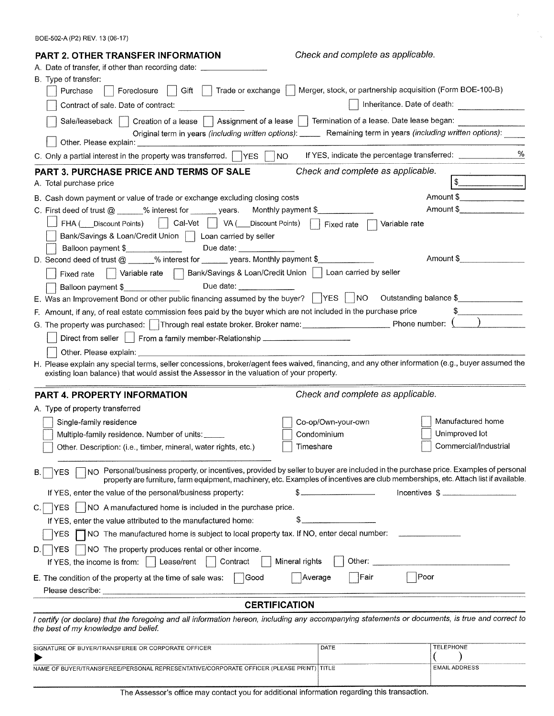BOE-502-A (P2) REV. 13 (06-17)

| <b>PART 2. OTHER TRANSFER INFORMATION</b>                                                                                                                                                                                                                                              | Check and complete as applicable.                                                                                      |                             |  |  |
|----------------------------------------------------------------------------------------------------------------------------------------------------------------------------------------------------------------------------------------------------------------------------------------|------------------------------------------------------------------------------------------------------------------------|-----------------------------|--|--|
| A. Date of transfer, if other than recording date: ____                                                                                                                                                                                                                                |                                                                                                                        |                             |  |  |
| B. Type of transfer:                                                                                                                                                                                                                                                                   |                                                                                                                        |                             |  |  |
| Foreclosure   Gift<br>Purchase<br>Trade or exchange                                                                                                                                                                                                                                    | Merger, stock, or partnership acquisition (Form BOE-100-B)                                                             |                             |  |  |
| Contract of sale. Date of contract:<br>and the company of the company of                                                                                                                                                                                                               |                                                                                                                        | Inheritance. Date of death: |  |  |
| Sale/leaseback     Creation of a lease     Assignment of a lease     Termination of a lease. Date lease began:                                                                                                                                                                         |                                                                                                                        |                             |  |  |
| Original term in years (including written options): ______ Remaining term in years (including written options):                                                                                                                                                                        |                                                                                                                        |                             |  |  |
| %<br>C. Only a partial interest in the property was transferred. TYES [<br>NO.<br>If YES, indicate the percentage transferred: ___________________________________                                                                                                                     |                                                                                                                        |                             |  |  |
| Check and complete as applicable.<br><b>PART 3. PURCHASE PRICE AND TERMS OF SALE</b>                                                                                                                                                                                                   |                                                                                                                        |                             |  |  |
| A. Total purchase price                                                                                                                                                                                                                                                                |                                                                                                                        |                             |  |  |
| B. Cash down payment or value of trade or exchange excluding closing costs                                                                                                                                                                                                             |                                                                                                                        | Amount \$________________   |  |  |
| C. First deed of trust $@ \_\_\_\%$ interest for $@ \_\_\_\_$ years.                                                                                                                                                                                                                   | Monthly payment \$                                                                                                     | Amount \$                   |  |  |
| FHA ( Discount Points)   Cal-Vet   VA (<br>Discount Points)<br>Variable rate<br>Fixed rate                                                                                                                                                                                             |                                                                                                                        |                             |  |  |
| Bank/Savings & Loan/Credit Union     Loan carried by seller                                                                                                                                                                                                                            |                                                                                                                        |                             |  |  |
| Due date:<br>Balloon payment \$_______________                                                                                                                                                                                                                                         |                                                                                                                        |                             |  |  |
| D. Second deed of trust @ _____% interest for ______ years. Monthly payment \$                                                                                                                                                                                                         |                                                                                                                        | Amount \$                   |  |  |
| Variable rate Bank/Savings & Loan/Credit Union   Loan carried by seller<br>Fixed rate                                                                                                                                                                                                  |                                                                                                                        |                             |  |  |
| Due date: _________________<br>Balloon payment \$                                                                                                                                                                                                                                      |                                                                                                                        |                             |  |  |
| E. Was an Improvement Bond or other public financing assumed by the buyer?    YES    NO<br>Outstanding balance \$                                                                                                                                                                      |                                                                                                                        |                             |  |  |
| F. Amount, if any, of real estate commission fees paid by the buyer which are not included in the purchase price                                                                                                                                                                       |                                                                                                                        |                             |  |  |
| G. The property was purchased:   Through real estate broker. Broker name: __________________________ Phone number: $\Omega$                                                                                                                                                            |                                                                                                                        |                             |  |  |
| Direct from seller   From a family member-Relationship                                                                                                                                                                                                                                 |                                                                                                                        |                             |  |  |
|                                                                                                                                                                                                                                                                                        |                                                                                                                        |                             |  |  |
| H. Please explain any special terms, seller concessions, broker/agent fees waived, financing, and any other information (e.g., buyer assumed the<br>existing loan balance) that would assist the Assessor in the valuation of your property.                                           |                                                                                                                        |                             |  |  |
| PART 4. PROPERTY INFORMATION                                                                                                                                                                                                                                                           | Check and complete as applicable.                                                                                      |                             |  |  |
| A. Type of property transferred                                                                                                                                                                                                                                                        |                                                                                                                        |                             |  |  |
| Single-family residence                                                                                                                                                                                                                                                                | Co-op/Own-your-own                                                                                                     | Manufactured home           |  |  |
| Multiple-family residence. Number of units:                                                                                                                                                                                                                                            | Condominium                                                                                                            | Unimproved lot              |  |  |
| Other. Description: (i.e., timber, mineral, water rights, etc.)                                                                                                                                                                                                                        | Timeshare                                                                                                              | Commercial/Industrial       |  |  |
| NO Personal/business property, or incentives, provided by seller to buyer are included in the purchase price. Examples of personal<br>YES<br>В.<br>property are furniture, farm equipment, machinery, etc. Examples of incentives are club memberships, etc. Attach list if available. |                                                                                                                        |                             |  |  |
| If YES, enter the value of the personal/business property:                                                                                                                                                                                                                             | <u> 1980 - Jan Harry Harry Harry Harry Harry Harry Harry Harry Harry Harry Harry Harry Harry Harry Harry Harry Har</u> | Incentives $\frac{1}{2}$    |  |  |
| NO A manufactured home is included in the purchase price.<br><b>YES</b><br>C.I                                                                                                                                                                                                         |                                                                                                                        |                             |  |  |
| If YES, enter the value attributed to the manufactured home:                                                                                                                                                                                                                           |                                                                                                                        |                             |  |  |
| NO The manufactured home is subject to local property tax. If NO, enter decal number:<br>YES.                                                                                                                                                                                          |                                                                                                                        |                             |  |  |
| NO The property produces rental or other income.<br>D.<br><b>YES</b>                                                                                                                                                                                                                   |                                                                                                                        |                             |  |  |
| Contract<br>Mineral rights<br>Other:<br>Lease/rent<br>If YES, the income is from:                                                                                                                                                                                                      |                                                                                                                        |                             |  |  |
| Poor<br>∣Fair<br> Good<br>Average<br>E. The condition of the property at the time of sale was:                                                                                                                                                                                         |                                                                                                                        |                             |  |  |
|                                                                                                                                                                                                                                                                                        |                                                                                                                        |                             |  |  |
| <b>CERTIFICATION</b>                                                                                                                                                                                                                                                                   |                                                                                                                        |                             |  |  |
| I certify (or declare) that the foregoing and all information hereon, including any accompanying statements or documents, is true and correct to<br>the best of my knowledge and belief.                                                                                               |                                                                                                                        |                             |  |  |
| SIGNATURE OF BUYER/TRANSFEREE OR CORPORATE OFFICER                                                                                                                                                                                                                                     | DATE                                                                                                                   | <b>TELEPHONE</b>            |  |  |
|                                                                                                                                                                                                                                                                                        |                                                                                                                        |                             |  |  |
| NAME OF BUYER/TRANSFEREE/PERSONAL REPRESENTATIVE/CORPORATE OFFICER (PLEASE PRINT) TITLE                                                                                                                                                                                                |                                                                                                                        | <b>EMAIL ADDRESS</b>        |  |  |

 $\hat{\phi}$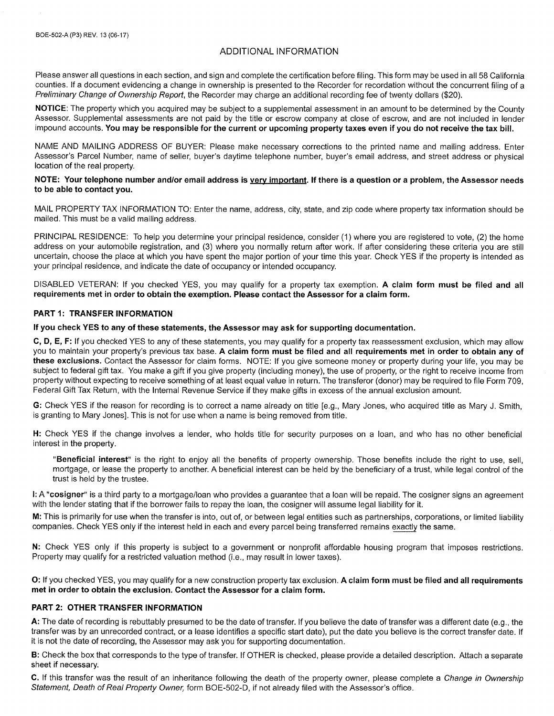# **ADDITIONAL INFORMATION**

Please answer all questions in each section, and sign and complete the certification before filing. This form may be used in all 58 California counties. If a document evidencing a change in ownership is presented to the Recorder for recordation without the concurrent filing of a Preliminary Change of Ownership Report, the Recorder may charge an additional recording fee of twenty dollars (\$20).

NOTICE: The property which you acquired may be subject to a supplemental assessment in an amount to be determined by the County Assessor. Supplemental assessments are not paid by the title or escrow company at close of escrow, and are not included in lender impound accounts. You may be responsible for the current or upcoming property taxes even if you do not receive the tax bill.

NAME AND MAILING ADDRESS OF BUYER: Please make necessary corrections to the printed name and mailing address. Enter Assessor's Parcel Number, name of seller, buyer's daytime telephone number, buyer's email address, and street address or physical location of the real property.

## NOTE: Your telephone number and/or email address is very important. If there is a question or a problem, the Assessor needs to be able to contact you.

MAIL PROPERTY TAX INFORMATION TO: Enter the name, address, city, state, and zip code where property tax information should be mailed. This must be a valid mailing address.

PRINCIPAL RESIDENCE: To help you determine your principal residence, consider (1) where you are registered to vote, (2) the home address on your automobile registration, and (3) where you normally return after work. If after considering these criteria you are still uncertain, choose the place at which you have spent the major portion of your time this year. Check YES if the property is intended as your principal residence, and indicate the date of occupancy or intended occupancy.

DISABLED VETERAN: If you checked YES, you may qualify for a property tax exemption. A claim form must be filed and all requirements met in order to obtain the exemption. Please contact the Assessor for a claim form.

## **PART 1: TRANSFER INFORMATION**

#### If you check YES to any of these statements, the Assessor may ask for supporting documentation.

C, D, E, F: If you checked YES to any of these statements, you may qualify for a property tax reassessment exclusion, which may allow you to maintain your property's previous tax base. A claim form must be filed and all requirements met in order to obtain any of these exclusions. Contact the Assessor for claim forms. NOTE: If you give someone money or property during your life, you may be subject to federal gift tax. You make a gift if you give property (including money), the use of property, or the right to receive income from property without expecting to receive something of at least equal value in return. The transferor (donor) may be required to file Form 709. Federal Gift Tax Return, with the Internal Revenue Service if they make gifts in excess of the annual exclusion amount.

G: Check YES if the reason for recording is to correct a name already on title [e.g., Mary Jones, who acquired title as Mary J. Smith, is granting to Mary Jones]. This is not for use when a name is being removed from title.

H: Check YES if the change involves a lender, who holds title for security purposes on a loan, and who has no other beneficial interest in the property.

"Beneficial interest" is the right to enjoy all the benefits of property ownership. Those benefits include the right to use, sell, mortgage, or lease the property to another. A beneficial interest can be held by the beneficiary of a trust, while legal control of the trust is held by the trustee.

I: A "cosigner" is a third party to a mortgage/loan who provides a guarantee that a loan will be repaid. The cosigner signs an agreement with the lender stating that if the borrower fails to repay the loan, the cosigner will assume legal liability for it.

M: This is primarily for use when the transfer is into, out of, or between legal entities such as partnerships, corporations, or limited liability companies. Check YES only if the interest held in each and every parcel being transferred remains exactly the same.

N: Check YES only if this property is subject to a government or nonprofit affordable housing program that imposes restrictions. Property may qualify for a restricted valuation method (i.e., may result in lower taxes).

O: If you checked YES, you may qualify for a new construction property tax exclusion. A claim form must be filed and all requirements met in order to obtain the exclusion. Contact the Assessor for a claim form.

#### PART 2: OTHER TRANSFER INFORMATION

A: The date of recording is rebuttably presumed to be the date of transfer. If you believe the date of transfer was a different date (e.g., the transfer was by an unrecorded contract, or a lease identifies a specific start date), put the date you believe is the correct transfer date. If it is not the date of recording, the Assessor may ask you for supporting documentation.

B: Check the box that corresponds to the type of transfer. If OTHER is checked, please provide a detailed description. Attach a separate sheet if necessary.

C. If this transfer was the result of an inheritance following the death of the property owner, please complete a Change in Ownership Statement, Death of Real Property Owner, form BOE-502-D, if not already filed with the Assessor's office.